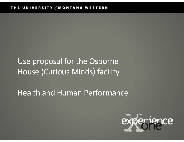# Use proposal for the Osborne House (Curious Minds) facility

### Health and Human Performance

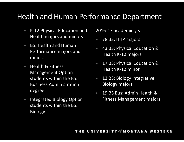### Health and Human Performance Department

- K-12 Physical Education and Health majors and minors
- BS: Health and Human Performance majors and minors.
- Health & Fitness Management Option students within the BS: Business Administration degree
- Integrated Biology Option students within the BS: Biology

2016-17 academic year:

- 78 BS: HHP majors
- 43 BS: Physical Education & Health K-12 majors
- 17 BS: Physical Education & Health K-12 minor
- 12 BS: Biology Integrative Biology majors
- 19 BS Bus: Admin Health & Fitness Management majors

#### THE UNIVERSITY of MONTANA WESTERN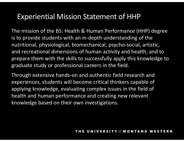### Experiential Mission Statement of HHP

The mission of the BS: Health & Human Performance (HHP) degree is to provide students with an in-depth understanding of the nutritional, physiological, biomechanical, psycho-social, artistic, and recreational dimensions of human activity and health, and to prepare them with the skills to successfully apply this knowledge to graduate study or professional careers in the field.

Through extensive hands-on and authentic field research and experiences, students will become critical thinkers capable of applying knowledge, evaluating complex issues in the field of health and human performance and creating new relevant knowledge based on their own investigations.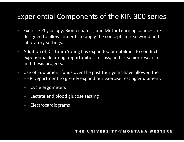### Experiential Components of the KIN 300 series

- Exercise Physiology, Biomechanics, and Motor Learning courses are designed to allow students to apply the concepts in real world and laboratory settings. • Experiential Components of the KIN 300 series<br>• Exercise Physiology, Biomechanics, and Motor Learning courses are<br>designed to allow students to apply the concepts in real world and<br>aboratory settings.<br>• Addition of Dr. L
- experiential learning opportunities in class, and as senior research and thesis projects.
- Use of Equipment funds over the past four years have allowed the HHP Department to greatly expand our exercise testing equipment.
	- Cycle ergometers
	- Lactate and blood glucose testing
	- Electrocardiograms

### THE UNIVERSITY of MONTANA WESTERN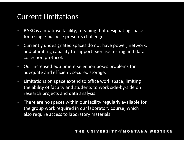### Current Limitations

- BARC is a multiuse facility, meaning that designating space for a single purpose presents challenges.
- Currently undesignated spaces do not have power, network, and plumbing capacity to support exercise testing and data collection protocol.
- Our increased equipment selection poses problems for adequate and efficient, secured storage.
- Limitations on space extend to office work space, limiting the ability of faculty and students to work side-by-side on research projects and data analysis.
- There are no spaces within our facility regularly available for the group work required in our laboratory course, which also require access to laboratory materials.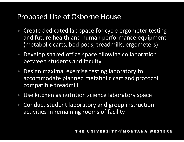### Proposed Use of Osborne House

- Create dedicated lab space for cycle ergometer testing and future health and human performance equipment (metabolic carts, bod pods, treadmills, ergometers)
- Develop shared office space allowing collaboration between students and faculty
- Design maximal exercise testing laboratory to accommodate planned metabolic cart and protocol compatible treadmill
- Use kitchen as nutrition science laboratory space
- Conduct student laboratory and group instruction activities in remaining rooms of facility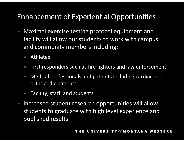## Enhancement of Experiential Opportunities

- Maximal exercise testing protocol equipment and facility will allow our students to work with campus and community members including:
	- Athletes
	- First responders such as fire fighters and law enforcement
	- Medical professionals and patients including cardiac and orthopedic patients
	- Faculty, staff, and students
- Increased student research opportunities will allow students to graduate with high level experience and published results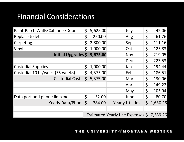### Financial Considerations

| <b>Financial Considerations</b>  |              |                                          |                         |              |          |
|----------------------------------|--------------|------------------------------------------|-------------------------|--------------|----------|
|                                  |              |                                          |                         |              |          |
| Paint-Patch Walls/Cabinets/Doors | $\mathsf{S}$ | 5,625.00                                 | July                    | $\varsigma$  | 42.06    |
| Replace toilets                  | $\zeta$      | 250.00                                   | Aug                     | $\zeta$      | 61.76    |
| Carpeting                        | Ş.           | 2,800.00                                 | Sept                    | \$           | 111.16   |
| Vinyl                            | Ś.           | 1,000.00                                 | Oct                     | $\varsigma$  | 125.83   |
| Initial Upgrades \$              |              | 9,675.00                                 | <b>Nov</b>              | \$           | 219.05   |
|                                  |              |                                          | Dec                     | \$           | 223.53   |
| <b>Custodial Supplies</b>        | $\mathsf{S}$ | 1,000.00                                 | Jan                     | \$           | 194.44   |
| Custodial 10 hr/week (35 weeks)  | Ş.           | 4,375.00                                 | Feb                     | \$           | 186.51   |
| Custodial Costs $$5,375.00$      |              |                                          | Mar                     | \$.          | 130.06   |
|                                  |              |                                          | Apr                     | \$           | 149.22   |
|                                  |              |                                          | May                     | $\varsigma$  | 105.94   |
| Data port and phone line/mo.     | $\varsigma$  | 32.00                                    | June                    | $\varsigma$  | 80.70    |
| Yearly Data/Phone \$             |              | 384.00                                   | <b>Yearly Utilities</b> | $\mathsf{S}$ | 1,630.26 |
|                                  |              | Estimated Yearly Use Expenses \$7,389.26 |                         |              |          |

THE UNIVERSITY of MONTANA WESTERN